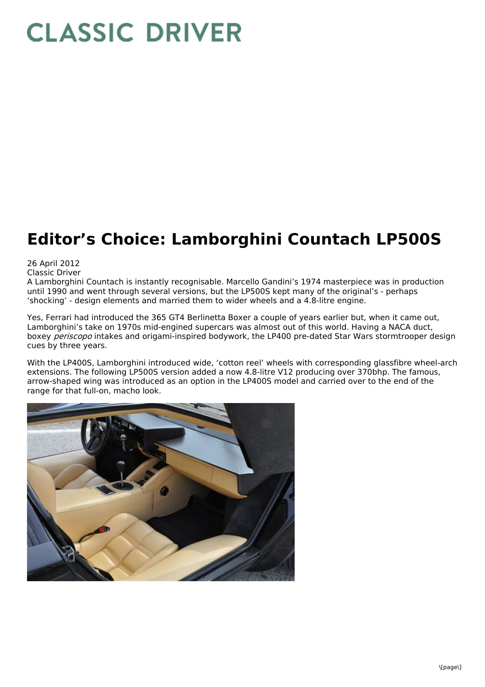## **CLASSIC DRIVER**

## **Editor's Choice: Lamborghini Countach LP500S**

26 April 2012

Classic Driver

A Lamborghini Countach is instantly recognisable. Marcello Gandini's 1974 masterpiece was in production until 1990 and went through several versions, but the LP500S kept many of the original's - perhaps 'shocking' - design elements and married them to wider wheels and a 4.8-litre engine.

Yes, Ferrari had introduced the 365 GT4 Berlinetta Boxer a couple of years earlier but, when it came out, Lamborghini's take on 1970s mid-engined supercars was almost out of this world. Having a NACA duct, boxey periscopo intakes and origami-inspired bodywork, the LP400 pre-dated Star Wars stormtrooper design cues by three years.

With the LP400S, Lamborghini introduced wide, 'cotton reel' wheels with corresponding glassfibre wheel-arch extensions. The following LP500S version added a now 4.8-litre V12 producing over 370bhp. The famous, arrow-shaped wing was introduced as an option in the LP400S model and carried over to the end of the range for that full-on, macho look.